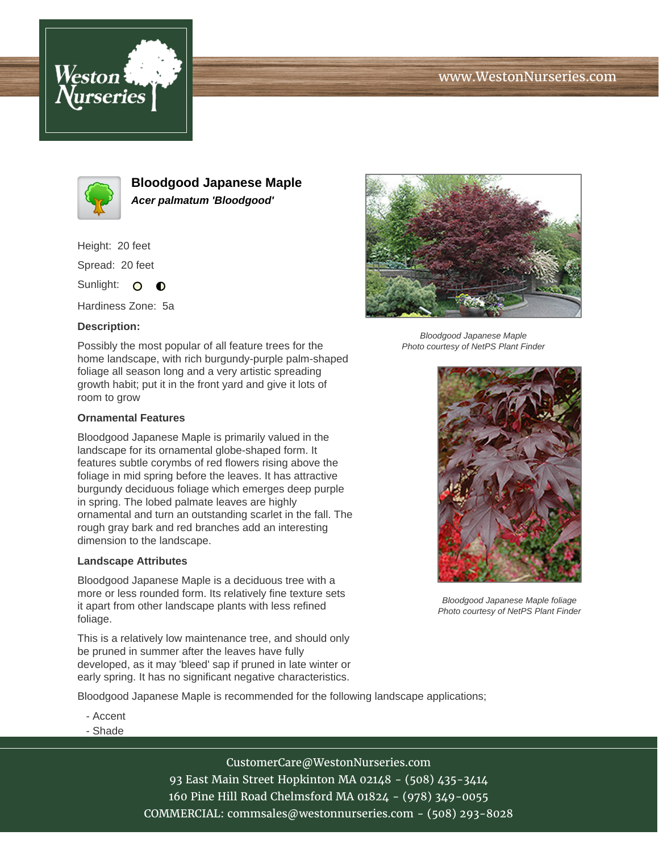# www.WestonNurseries.com





**Bloodgood Japanese Maple Acer palmatum 'Bloodgood'**

Height: 20 feet

Spread: 20 feet

Sunlight: O  $\bullet$ 

Hardiness Zone: 5a

### **Description:**

Possibly the most popular of all feature trees for the home landscape, with rich burgundy-purple palm-shaped foliage all season long and a very artistic spreading growth habit; put it in the front yard and give it lots of room to grow

#### **Ornamental Features**

Bloodgood Japanese Maple is primarily valued in the landscape for its ornamental globe-shaped form. It features subtle corymbs of red flowers rising above the foliage in mid spring before the leaves. It has attractive burgundy deciduous foliage which emerges deep purple in spring. The lobed palmate leaves are highly ornamental and turn an outstanding scarlet in the fall. The rough gray bark and red branches add an interesting dimension to the landscape.

#### **Landscape Attributes**

Bloodgood Japanese Maple is a deciduous tree with a more or less rounded form. Its relatively fine texture sets it apart from other landscape plants with less refined foliage.

This is a relatively low maintenance tree, and should only be pruned in summer after the leaves have fully developed, as it may 'bleed' sap if pruned in late winter or early spring. It has no significant negative characteristics.

Bloodgood Japanese Maple is recommended for the following landscape applications;

- Accent
- Shade

CustomerCare@WestonNurseries.com 93 East Main Street Hopkinton MA 02148 - (508) 435-3414 160 Pine Hill Road Chelmsford MA 01824 - (978) 349-0055 COMMERCIAL: commsales@westonnurseries.com - (508) 293-8028



Bloodgood Japanese Maple Photo courtesy of NetPS Plant Finder



Bloodgood Japanese Maple foliage Photo courtesy of NetPS Plant Finder